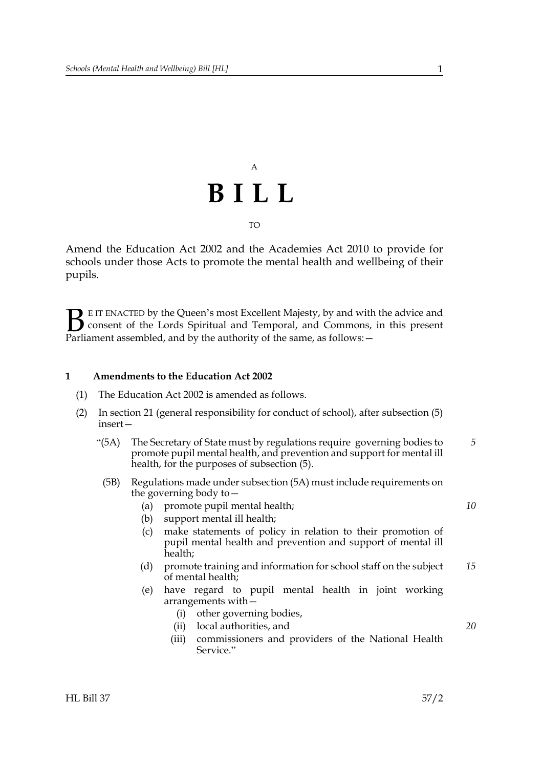# A **BILL** TO

Amend the Education Act 2002 and the Academies Act 2010 to provide for schools under those Acts to promote the mental health and wellbeing of their pupils.

E IT ENACTED by the Queen's most Excellent Majesty, by and with the advice and consent of the Lords Spiritual and Temporal, and Commons, in this present Parliament assembled, and by the authority of the same, as follows:  $\mathbf{B}_{\text{e}$ 

## **1 Amendments to the Education Act 2002**

- (1) The Education Act 2002 is amended as follows.
- <span id="page-0-0"></span>(2) In section 21 (general responsibility for conduct of school), after subsection (5) insert—
	- "(5A) The Secretary of State must by regulations require governing bodies to promote pupil mental health, and prevention and support for mental ill health, for the purposes of subsection (5). *5*
	- (5B) Regulations made under subsection [\(5A\)](#page-0-0) must include requirements on the governing body to—
		- (a) promote pupil mental health;
		- (b) support mental ill health;
		- (c) make statements of policy in relation to their promotion of pupil mental health and prevention and support of mental ill health;
		- (d) promote training and information for school staff on the subject of mental health; *15*
		- (e) have regard to pupil mental health in joint working arrangements with—
			- (i) other governing bodies,
			- (ii) local authorities, and
			- (iii) commissioners and providers of the National Health Service."

*10*

*20*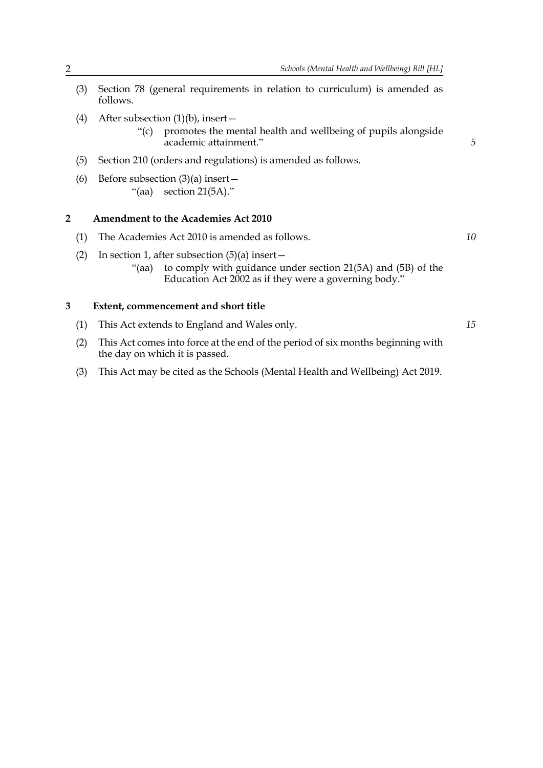- (3) Section 78 (general requirements in relation to curriculum) is amended as follows.
- (4) After subsection  $(1)(b)$ , insert -
	- "(c) promotes the mental health and wellbeing of pupils alongside academic attainment."
- (5) Section 210 (orders and regulations) is amended as follows.
- (6) Before subsection  $(3)(a)$  insert "(aa) section 21(5A)."

#### **2 Amendment to the Academies Act 2010**

- (1) The Academies Act 2010 is amended as follows.
	- (2) In section 1, after subsection  $(5)(a)$  insert
		- "(aa) to comply with guidance under section 21(5A) and (5B) of the Education Act 2002 as if they were a governing body."

### **3 Extent, commencement and short title**

- (1) This Act extends to England and Wales only.
- (2) This Act comes into force at the end of the period of six months beginning with the day on which it is passed.
- (3) This Act may be cited as the Schools (Mental Health and Wellbeing) Act 2019.

*10*

*15*

*5*